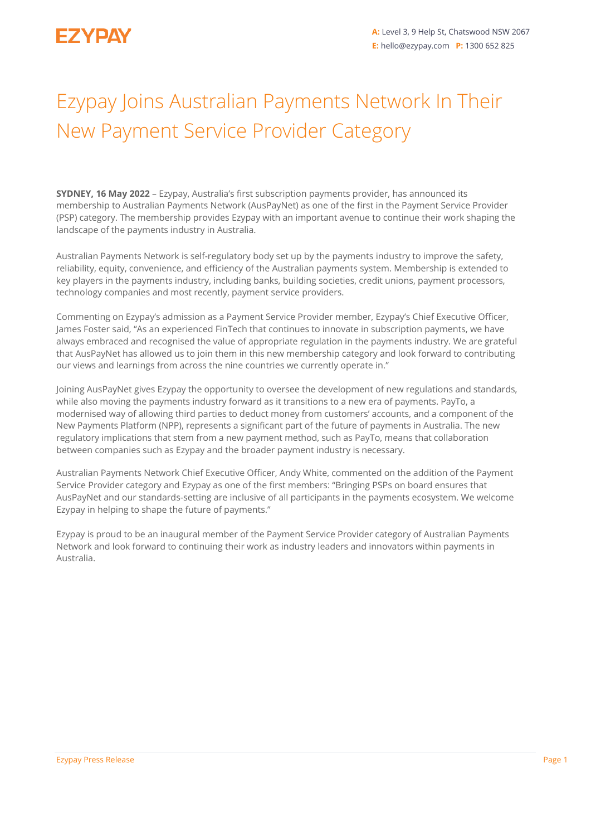## Ezypay Joins Australian Payments Network In Their New Payment Service Provider Category

**SYDNEY, 16 May 2022** – Ezypay, Australia's first subscription payments provider, has announced its membership to Australian Payments Network (AusPayNet) as one of the first in the Payment Service Provider (PSP) category. The membership provides Ezypay with an important avenue to continue their work shaping the landscape of the payments industry in Australia.

Australian Payments Network is self-regulatory body set up by the payments industry to improve the safety, reliability, equity, convenience, and efficiency of the Australian payments system. Membership is extended to key players in the payments industry, including banks, building societies, credit unions, payment processors, technology companies and most recently, payment service providers.

Commenting on Ezypay's admission as a Payment Service Provider member, Ezypay's Chief Executive Officer, James Foster said, "As an experienced FinTech that continues to innovate in subscription payments, we have always embraced and recognised the value of appropriate regulation in the payments industry. We are grateful that AusPayNet has allowed us to join them in this new membership category and look forward to contributing our views and learnings from across the nine countries we currently operate in."

Joining AusPayNet gives Ezypay the opportunity to oversee the development of new regulations and standards, while also moving the payments industry forward as it transitions to a new era of payments. PayTo, a modernised way of allowing third parties to deduct money from customers' accounts, and a component of the New Payments Platform (NPP), represents a significant part of the future of payments in Australia. The new regulatory implications that stem from a new payment method, such as PayTo, means that collaboration between companies such as Ezypay and the broader payment industry is necessary.

Australian Payments Network Chief Executive Officer, Andy White, commented on the addition of the Payment Service Provider category and Ezypay as one of the first members: "Bringing PSPs on board ensures that AusPayNet and our standards-setting are inclusive of all participants in the payments ecosystem. We welcome Ezypay in helping to shape the future of payments."

Ezypay is proud to be an inaugural member of the Payment Service Provider category of Australian Payments Network and look forward to continuing their work as industry leaders and innovators within payments in Australia.